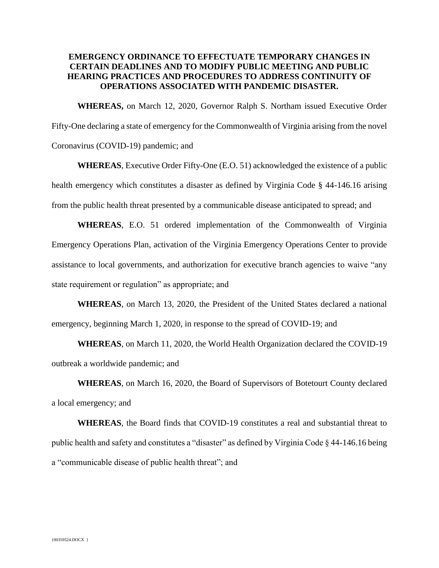## **EMERGENCY ORDINANCE TO EFFECTUATE TEMPORARY CHANGES IN CERTAIN DEADLINES AND TO MODIFY PUBLIC MEETING AND PUBLIC HEARING PRACTICES AND PROCEDURES TO ADDRESS CONTINUITY OF OPERATIONS ASSOCIATED WITH PANDEMIC DISASTER.**

**WHEREAS,** on March 12, 2020, Governor Ralph S. Northam issued Executive Order Fifty-One declaring a state of emergency for the Commonwealth of Virginia arising from the novel Coronavirus (COVID-19) pandemic; and

**WHEREAS**, Executive Order Fifty-One (E.O. 51) acknowledged the existence of a public health emergency which constitutes a disaster as defined by Virginia Code § 44-146.16 arising from the public health threat presented by a communicable disease anticipated to spread; and

**WHEREAS**, E.O. 51 ordered implementation of the Commonwealth of Virginia Emergency Operations Plan, activation of the Virginia Emergency Operations Center to provide assistance to local governments, and authorization for executive branch agencies to waive "any state requirement or regulation" as appropriate; and

**WHEREAS**, on March 13, 2020, the President of the United States declared a national emergency, beginning March 1, 2020, in response to the spread of COVID-19; and

**WHEREAS**, on March 11, 2020, the World Health Organization declared the COVID-19 outbreak a worldwide pandemic; and

**WHEREAS**, on March 16, 2020, the Board of Supervisors of Botetourt County declared a local emergency; and

**WHEREAS**, the Board finds that COVID-19 constitutes a real and substantial threat to public health and safety and constitutes a "disaster" as defined by Virginia Code § 44-146.16 being a "communicable disease of public health threat"; and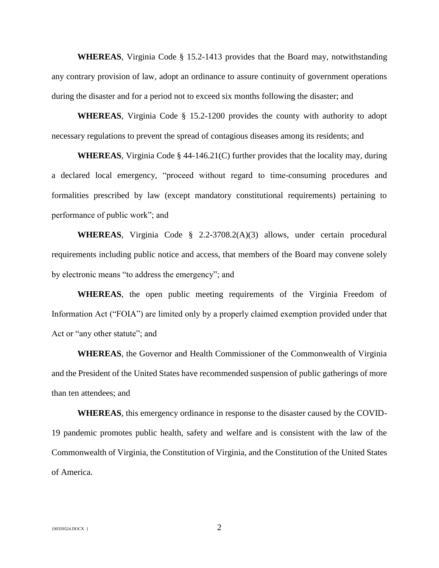**WHEREAS**, Virginia Code § 15.2-1413 provides that the Board may, notwithstanding any contrary provision of law, adopt an ordinance to assure continuity of government operations during the disaster and for a period not to exceed six months following the disaster; and

**WHEREAS**, Virginia Code § 15.2-1200 provides the county with authority to adopt necessary regulations to prevent the spread of contagious diseases among its residents; and

**WHEREAS**, Virginia Code § 44-146.21(C) further provides that the locality may, during a declared local emergency, "proceed without regard to time-consuming procedures and formalities prescribed by law (except mandatory constitutional requirements) pertaining to performance of public work"; and

**WHEREAS**, Virginia Code § 2.2-3708.2(A)(3) allows, under certain procedural requirements including public notice and access, that members of the Board may convene solely by electronic means "to address the emergency"; and

**WHEREAS**, the open public meeting requirements of the Virginia Freedom of Information Act ("FOIA") are limited only by a properly claimed exemption provided under that Act or "any other statute"; and

**WHEREAS**, the Governor and Health Commissioner of the Commonwealth of Virginia and the President of the United States have recommended suspension of public gatherings of more than ten attendees; and

**WHEREAS**, this emergency ordinance in response to the disaster caused by the COVID-19 pandemic promotes public health, safety and welfare and is consistent with the law of the Commonwealth of Virginia, the Constitution of Virginia, and the Constitution of the United States of America.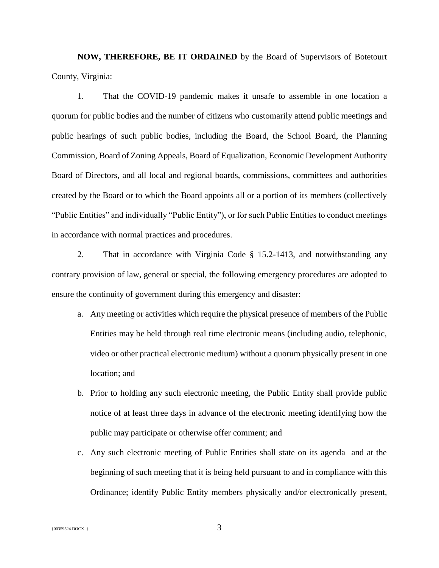**NOW, THEREFORE, BE IT ORDAINED** by the Board of Supervisors of Botetourt County, Virginia:

1. That the COVID-19 pandemic makes it unsafe to assemble in one location a quorum for public bodies and the number of citizens who customarily attend public meetings and public hearings of such public bodies, including the Board, the School Board, the Planning Commission, Board of Zoning Appeals, Board of Equalization, Economic Development Authority Board of Directors, and all local and regional boards, commissions, committees and authorities created by the Board or to which the Board appoints all or a portion of its members (collectively "Public Entities" and individually "Public Entity"), or for such Public Entities to conduct meetings in accordance with normal practices and procedures.

2. That in accordance with Virginia Code § 15.2-1413, and notwithstanding any contrary provision of law, general or special, the following emergency procedures are adopted to ensure the continuity of government during this emergency and disaster:

- a. Any meeting or activities which require the physical presence of members of the Public Entities may be held through real time electronic means (including audio, telephonic, video or other practical electronic medium) without a quorum physically present in one location; and
- b. Prior to holding any such electronic meeting, the Public Entity shall provide public notice of at least three days in advance of the electronic meeting identifying how the public may participate or otherwise offer comment; and
- c. Any such electronic meeting of Public Entities shall state on its agenda and at the beginning of such meeting that it is being held pursuant to and in compliance with this Ordinance; identify Public Entity members physically and/or electronically present,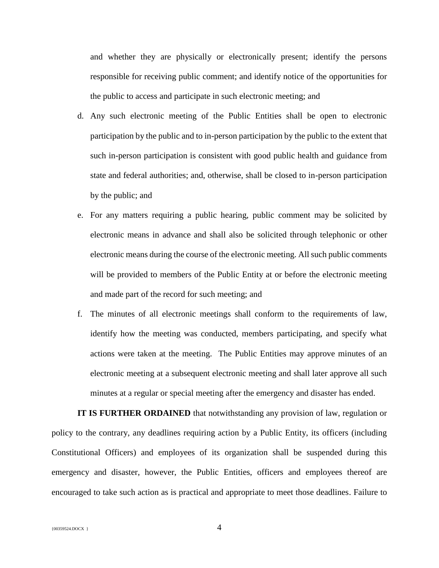and whether they are physically or electronically present; identify the persons responsible for receiving public comment; and identify notice of the opportunities for the public to access and participate in such electronic meeting; and

- d. Any such electronic meeting of the Public Entities shall be open to electronic participation by the public and to in-person participation by the public to the extent that such in-person participation is consistent with good public health and guidance from state and federal authorities; and, otherwise, shall be closed to in-person participation by the public; and
- e. For any matters requiring a public hearing, public comment may be solicited by electronic means in advance and shall also be solicited through telephonic or other electronic means during the course of the electronic meeting. All such public comments will be provided to members of the Public Entity at or before the electronic meeting and made part of the record for such meeting; and
- f. The minutes of all electronic meetings shall conform to the requirements of law, identify how the meeting was conducted, members participating, and specify what actions were taken at the meeting. The Public Entities may approve minutes of an electronic meeting at a subsequent electronic meeting and shall later approve all such minutes at a regular or special meeting after the emergency and disaster has ended.

**IT IS FURTHER ORDAINED** that notwithstanding any provision of law, regulation or policy to the contrary, any deadlines requiring action by a Public Entity, its officers (including Constitutional Officers) and employees of its organization shall be suspended during this emergency and disaster, however, the Public Entities, officers and employees thereof are encouraged to take such action as is practical and appropriate to meet those deadlines. Failure to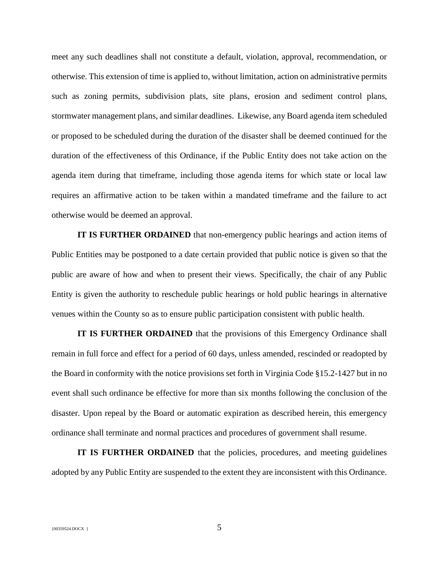meet any such deadlines shall not constitute a default, violation, approval, recommendation, or otherwise. This extension of time is applied to, without limitation, action on administrative permits such as zoning permits, subdivision plats, site plans, erosion and sediment control plans, stormwater management plans, and similar deadlines. Likewise, any Board agenda item scheduled or proposed to be scheduled during the duration of the disaster shall be deemed continued for the duration of the effectiveness of this Ordinance, if the Public Entity does not take action on the agenda item during that timeframe, including those agenda items for which state or local law requires an affirmative action to be taken within a mandated timeframe and the failure to act otherwise would be deemed an approval.

**IT IS FURTHER ORDAINED** that non-emergency public hearings and action items of Public Entities may be postponed to a date certain provided that public notice is given so that the public are aware of how and when to present their views. Specifically, the chair of any Public Entity is given the authority to reschedule public hearings or hold public hearings in alternative venues within the County so as to ensure public participation consistent with public health.

**IT IS FURTHER ORDAINED** that the provisions of this Emergency Ordinance shall remain in full force and effect for a period of 60 days, unless amended, rescinded or readopted by the Board in conformity with the notice provisions set forth in Virginia Code §15.2-1427 but in no event shall such ordinance be effective for more than six months following the conclusion of the disaster. Upon repeal by the Board or automatic expiration as described herein, this emergency ordinance shall terminate and normal practices and procedures of government shall resume.

**IT IS FURTHER ORDAINED** that the policies, procedures, and meeting guidelines adopted by any Public Entity are suspended to the extent they are inconsistent with this Ordinance.